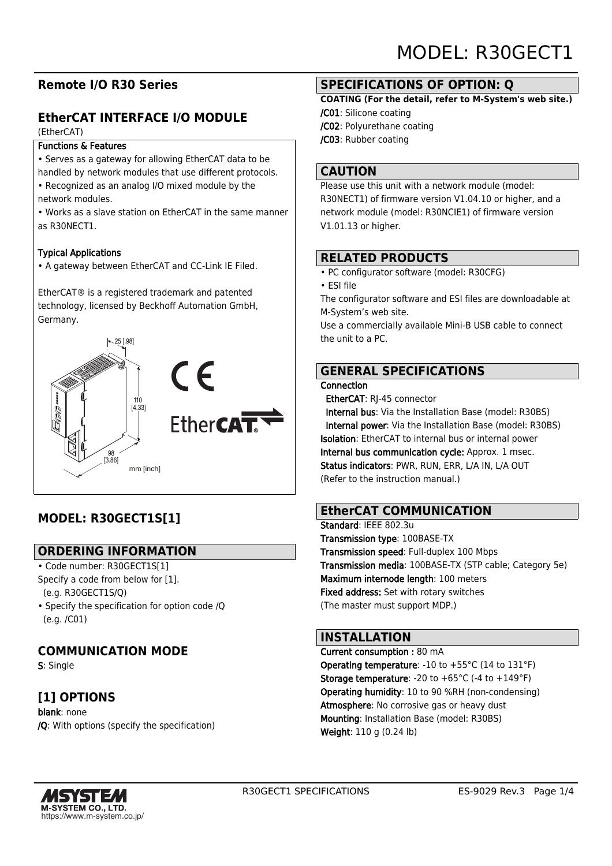# **Remote I/O R30 Series**

# **EtherCAT INTERFACE I/O MODULE**

#### (EtherCAT)

#### Functions & Features

• Serves as a gateway for allowing EtherCAT data to be

handled by network modules that use different protocols.

• Recognized as an analog I/O mixed module by the network modules.

• Works as a slave station on EtherCAT in the same manner as R30NECT1.

#### Typical Applications

• A gateway between EtherCAT and CC-Link IE Filed.

EtherCAT® is a registered trademark and patented technology, licensed by Beckhoff Automation GmbH, Germany.



# **MODEL: R30GECT1S[1]**

## **ORDERING INFORMATION**

• Code number: R30GECT1S[1] Specify a code from below for [1]. (e.g. R30GECT1S/Q)

• Specify the specification for option code /Q (e.g. /C01)

# **COMMUNICATION MODE**

S: Single

# **[1] OPTIONS**

blank: none /Q: With options (specify the specification)

## **SPECIFICATIONS OF OPTION: Q**

#### **COATING (For the detail, refer to M-System's web site.)**

- /C01: Silicone coating
- /C02: Polyurethane coating
- /C03: Rubber coating

## **CAUTION**

Please use this unit with a network module (model: R30NECT1) of firmware version V1.04.10 or higher, and a network module (model: R30NCIE1) of firmware version V1.01.13 or higher.

## **RELATED PRODUCTS**

- PC configurator software (model: R30CFG)
- ESI file

The configurator software and ESI files are downloadable at M-System's web site.

Use a commercially available Mini-B USB cable to connect the unit to a PC.

# **GENERAL SPECIFICATIONS**

#### Connection

EtherCAT: RJ-45 connector

 Internal bus: Via the Installation Base (model: R30BS) Internal power: Via the Installation Base (model: R30BS) Isolation: EtherCAT to internal bus or internal power Internal bus communication cycle: Approx. 1 msec. Status indicators: PWR, RUN, ERR, L/A IN, L/A OUT (Refer to the instruction manual.)

# **EtherCAT COMMUNICATION**

Standard: IFFF 802.3u Transmission type: 100BASE-TX Transmission speed: Full-duplex 100 Mbps Transmission media: 100BASE-TX (STP cable; Category 5e) Maximum internode length: 100 meters Fixed address: Set with rotary switches (The master must support MDP.)

## **INSTALLATION**

Current consumption : 80 mA Operating temperature: -10 to +55°C (14 to 131°F) **Storage temperature:** -20 to  $+65^{\circ}$ C (-4 to  $+149^{\circ}$ F) Operating humidity: 10 to 90 %RH (non-condensing) Atmosphere: No corrosive gas or heavy dust Mounting: Installation Base (model: R30BS) Weight: 110 g (0.24 lb)

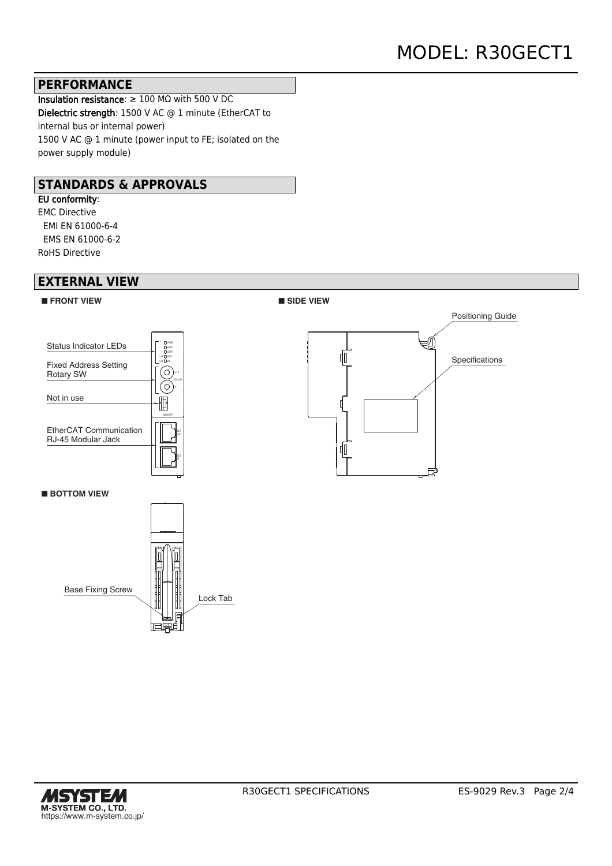### **PERFORMANCE**

Insulation resistance: ≥ 100 MΩ with 500 V DC Dielectric strength: 1500 V AC @ 1 minute (EtherCAT to internal bus or internal power) 1500 V AC @ 1 minute (power input to FE; isolated on the power supply module)

## **STANDARDS & APPROVALS**

EU conformity: EMC Directive EMI EN 61000-6-4 EMS EN 61000-6-2 RoHS Directive

### **EXTERNAL VIEW**





■**BOTTOM VIEW** 







■ **SIDE VIEW**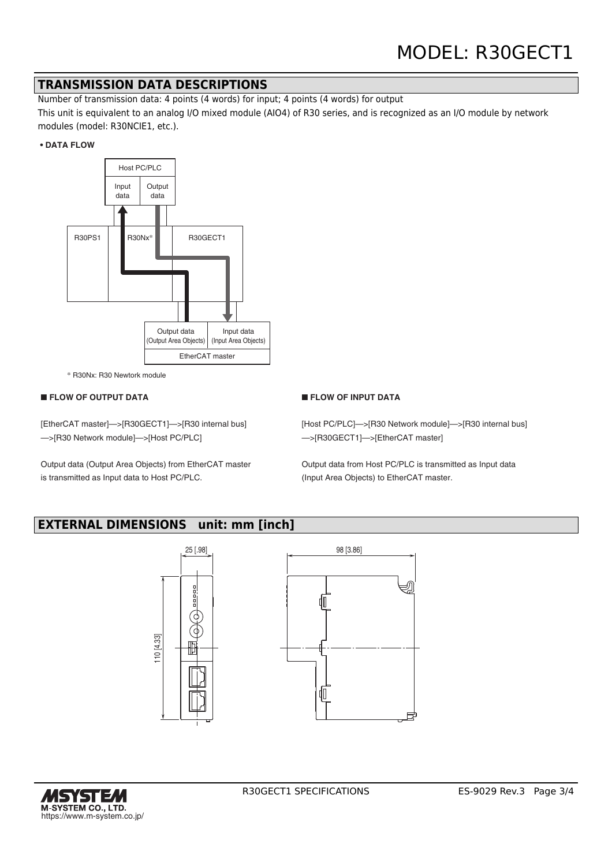### **TRANSMISSION DATA DESCRIPTIONS**

Number of transmission data: 4 points (4 words) for input; 4 points (4 words) for output

This unit is equivalent to an analog I/O mixed module (AIO4) of R30 series, and is recognized as an I/O module by network modules (model: R30NCIE1, etc.).

#### **• DATA FLOW**



\* R30Nx: R30 Newtork module

#### ■ **FLOW OF OUTPUT DATA**

[EtherCAT master]—>[R30GECT1]—>[R30 internal bus] —>[R30 Network module]—>[Host PC/PLC]

Output data (Output Area Objects) from EtherCAT master is transmitted as Input data to Host PC/PLC.

#### ■ **FLOW OF INPUT DATA**

[Host PC/PLC]->[R30 Network module]->[R30 internal bus] —>[R30GECT1]—>[EtherCAT master]

Output data from Host PC/PLC is transmitted as Input data (Input Area Objects) to EtherCAT master.

## **EXTERNAL DIMENSIONS unit: mm [inch]**